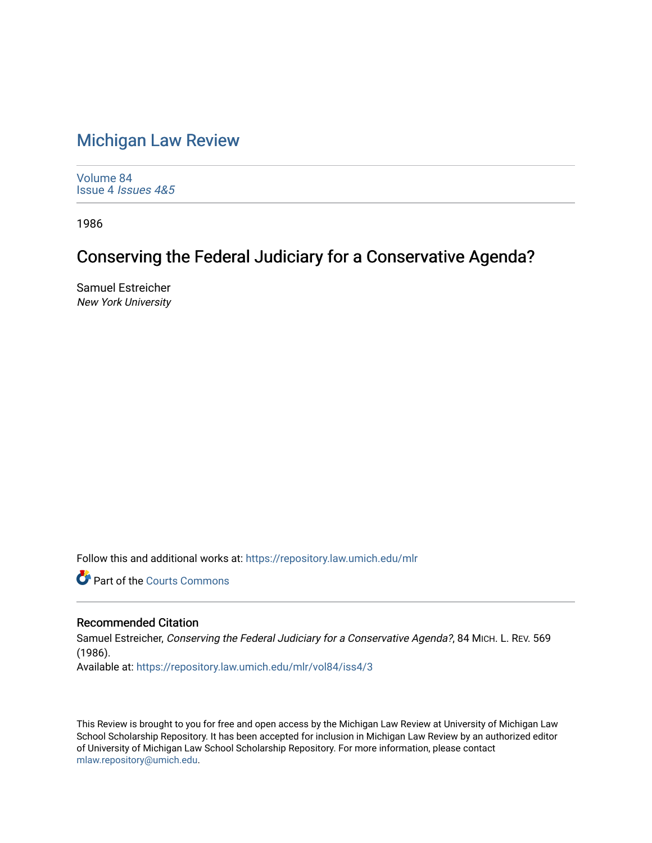## [Michigan Law Review](https://repository.law.umich.edu/mlr)

[Volume 84](https://repository.law.umich.edu/mlr/vol84) Issue 4 [Issues 4&5](https://repository.law.umich.edu/mlr/vol84/iss4) 

1986

# Conserving the Federal Judiciary for a Conservative Agenda?

Samuel Estreicher New York University

Follow this and additional works at: [https://repository.law.umich.edu/mlr](https://repository.law.umich.edu/mlr?utm_source=repository.law.umich.edu%2Fmlr%2Fvol84%2Fiss4%2F3&utm_medium=PDF&utm_campaign=PDFCoverPages) 

**C** Part of the Courts Commons

#### Recommended Citation

Samuel Estreicher, Conserving the Federal Judiciary for a Conservative Agenda?, 84 MICH. L. REV. 569 (1986). Available at: [https://repository.law.umich.edu/mlr/vol84/iss4/3](https://repository.law.umich.edu/mlr/vol84/iss4/3?utm_source=repository.law.umich.edu%2Fmlr%2Fvol84%2Fiss4%2F3&utm_medium=PDF&utm_campaign=PDFCoverPages)

This Review is brought to you for free and open access by the Michigan Law Review at University of Michigan Law School Scholarship Repository. It has been accepted for inclusion in Michigan Law Review by an authorized editor of University of Michigan Law School Scholarship Repository. For more information, please contact [mlaw.repository@umich.edu.](mailto:mlaw.repository@umich.edu)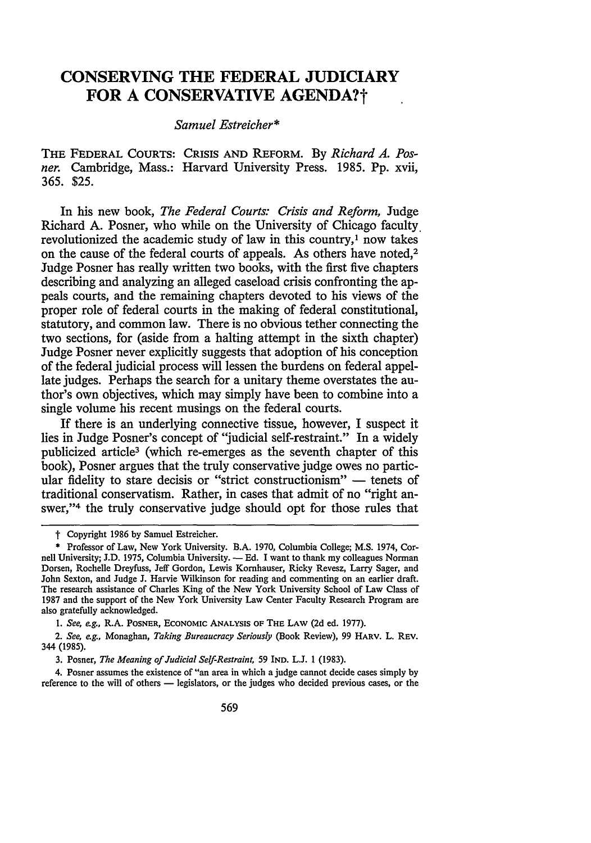### **CONSERVING THE FEDERAL JUDICIARY FOR A CONSERVATIVE AGENDA?**†

#### *Samuel Estreicher\**

THE FEDERAL COURTS: CRISIS AND REFORM. By *Richard A. Posner.* Cambridge, Mass.: Harvard University Press. 1985. Pp. xvii, 365. \$25.

In his new book, *The Federal Courts: Crisis and Reform,* Judge Richard A. Posner, who while on the University of Chicago faculty. revolutionized the academic study of law in this country, $<sup>1</sup>$  now takes</sup> on the cause of the federal courts of appeals. As others have noted,<sup>2</sup> Judge Posner has really written two books, with the first five chapters describing and analyzing an alleged caseload crisis confronting the appeals courts, and the remaining chapters devoted to his views of the proper role of federal courts in the making of federal constitutional, statutory, and common law. There is no obvious tether connecting the two sections, for (aside from a halting attempt in the sixth chapter) Judge Posner never explicitly suggests that adoption of his conception of the federal judicial process will lessen the burdens on federal appellate judges. Perhaps the search for a unitary theme overstates the author's own objectives, which may simply have been to combine into a single volume his recent musings on the federal courts.

If there is an underlying connective tissue, however, I suspect it lies in Judge Posner's concept of "judicial self-restraint." In a widely publicized article3 (which re-emerges as the seventh chapter of this book), Posner argues that the truly conservative judge owes no particular fidelity to stare decisis or "strict constructionism" - tenets of traditional conservatism. Rather, in cases that admit of no "right answer,"<sup>4</sup> the truly conservative judge should opt for those rules that

1. *See, e.g .•* R.A. POSNER, EcoNOMlC ANALYSIS OF THE LAW (2d ed. 1977).

4. Posner assumes the existence of "an area in which a judge cannot decide cases simply by reference to the will of others — legislators, or the judges who decided previous cases, or the

t Copyright 1986 by Samuel Estreicher.

<sup>\*</sup> Professor of Law, New York University. B.A. 1970, Columbia College; M.S. 1974, Cornell University; J.D. 1975, Columbia University. - Ed. I want to thank my colleagues Norman Dorsen, Rochelle Dreyfuss, Jeff Gordon, Lewis Kornhauser, Ricky Revesz, Larry Sager, and John Sexton, and Judge J. Harvie Wilkinson for reading and commenting on an earlier draft. The research assistance of Charles King of the New York University School of Law Class of 1987 and the support of the New York University Law Center Faculty Research Program are also gratefully acknowledged.

<sup>2.</sup> *See, e.g.,* Monaghan, *Taking Bureaucracy Seriously* (Book Review), 99 HARV. L. REV. 344 (1985).

<sup>3.</sup> Posner, *The Meaning of Judicial Self-Restraint,* 59 IND. L.J. 1 (1983).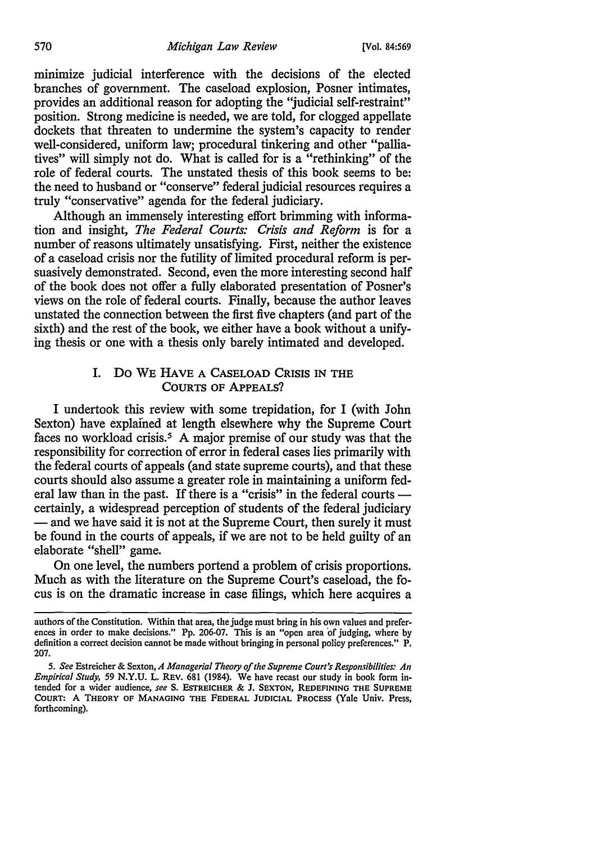minimize judicial interference with the decisions of the elected branches of government. The caseload explosion, Posner intimates, provides an additional reason for adopting the "judicial self-restraint" position. Strong medicine is needed, we are told, for clogged appellate dockets that threaten to undermine the system's capacity to render well-considered, uniform law; procedural tinkering and other "palliatives" will simply not do. What is called for is a "rethinking" of the role of federal courts. The unstated thesis of this book seems to be: the need to husband or "conserve" federal judicial resources requires a truly "conservative" agenda for the federal judiciary.

Although an immensely interesting effort brimming with information and insight, *The Federal Courts: Crisis and Reform* is for a number of reasons ultimately unsatisfying. First, neither the existence of a caseload crisis nor the futility of limited procedural reform is persuasively demonstrated. Second, even the more interesting second half of the book does not offer a fully elaborated presentation of Posner's views on the role of federal courts. Finally, because the author leaves unstated the connection between the first five chapters (and part of the sixth) and the rest of the book, we either have a book without a unifying thesis or one with a thesis only barely intimated and developed.

#### I. DO WE HAVE A CASELOAD CRISIS IN THE COURTS OF APPEALS?

I undertook this review with some trepidation, for I (with John Sexton) have explained at length elsewhere why the Supreme Court faces no workload crisis.<sup>5</sup> A major premise of our study was that the responsibility for correction of error in federal cases lies primarily with the federal courts of appeals (and state supreme courts), and that these courts should also assume a greater role in maintaining a uniform federal law than in the past. If there is a "crisis" in the federal courts certainly, a widespread perception of students of the federal judiciary - and we have said it is not at the Supreme Court, then surely it must be found in the courts of appeals, if we are not to be held guilty of an elaborate "shell" game.

On one level, the numbers portend a problem of crisis proportions. Much as with the literature on the Supreme Court's caseload, the focus is on the dramatic increase in case filings, which here acquires a

authors of the Constitution. Within that area, the judge must bring in his own values and preferences in order to make decisions." Pp. 206-07. This is an "open area 'of judging, where by definition a correct decision cannot be made without bringing in personal policy preferences." P. 207.

*<sup>5.</sup> See* Estreicher & Sexton, *A Managerial Theory of the Supreme Court's Responsibilities: An Empirical Study,* 59 N.Y.U. L. REV. 681 (1984). We have recast our study in book form intended for a wider audience, *see* s. EsrREICHER & J. SEXTON, REDEFINING THE SUPREME COURT: A THEORY OF MANAGING THE FEDERAL JUDICIAL PROCESS (Yale Univ. Press, forthcoming).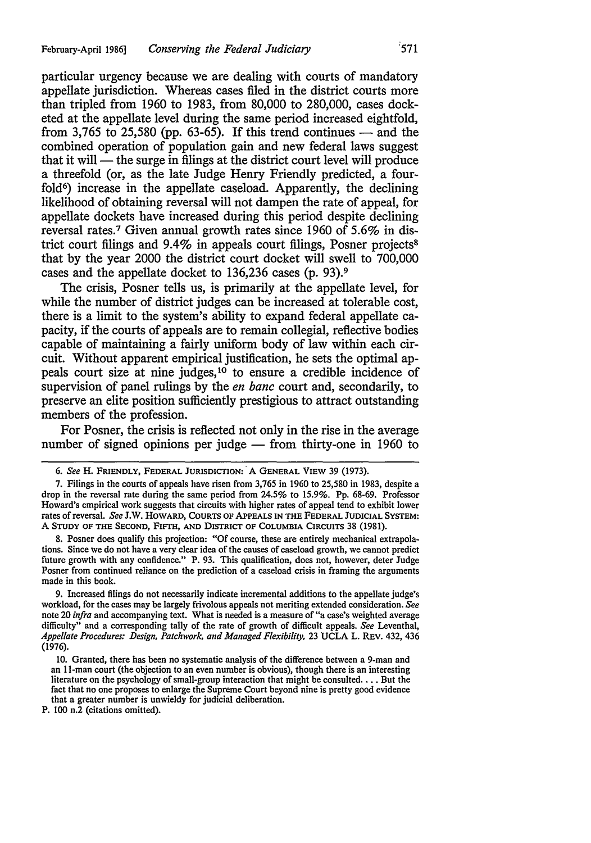particular urgency because we are dealing with courts of mandatory appellate jurisdiction. Whereas cases filed in the district courts more than tripled from 1960 to 1983, from 80,000 to 280,000, cases docketed at the appellate level during the same period increased eightfold, from 3,765 to 25,580 (pp. 63-65). If this trend continues  $-$  and the combined operation of population gain and new federal laws suggest that it will — the surge in filings at the district court level will produce a threefold (or, as the late Judge Henry Friendly predicted, a fourfold<sup>6</sup>) increase in the appellate caseload. Apparently, the declining likelihood of obtaining reversal will not dampen the rate of appeal, for appellate dockets have increased during this period despite declining reversal rates.7 Given annual growth rates since 1960 of 5.6% in district court filings and 9.4% in appeals court filings, Posner projects8 that by the year 2000 the district court docket will swell to 700,000 cases and the appellate docket to 136,236 cases (p. 93).9

The crisis, Posner tells us, is primarily at the appellate level, for while the number of district judges can be increased at tolerable cost, there is a limit to the system's ability to expand federal appellate capacity, if the courts of appeals are to remain collegial, reflective bodies capable of maintaining a fairly uniform body of law within each circuit. Without apparent empirical justification, he sets the optimal appeals court size at nine judges, 10 to ensure a credible incidence of supervision of panel rulings by the *en bane* court and, secondarily, to preserve an elite position sufficiently prestigious to attract outstanding members of the profession.

For Posner, the crisis is reflected not only in the rise in the average number of signed opinions per judge  $-$  from thirty-one in 1960 to

8. Posner does qualify this projection: "Of course, these are entirely mechanical extrapolations. Since we do not have a very clear idea of the causes of caseload growth, we cannot predict future growth with any confidence." P. 93. This qualification, does not, however, deter Judge Posner from continued reliance on the prediction of a caseload crisis in framing the arguments made in this book.

9. Increased filings do not necessarily indicate incremental additions to the appellate judge's workload, for the cases may be largely frivolous appeals not meriting extended consideration. *See*  note 20 *infra* and accompanying text. What is needed is a measure of "a case's weighted average difficulty" and a corresponding tally of the rate of growth of difficult appeals. *See* Leventhal, *Appellate Procedures: Design, Patchwork, and Managed Flexibility,* 23 UCLA L. REV. 432, 436 (1976).

10. Granted, there has been no systematic analysis of the difference between a 9-man and an 11-man court (the objection to an even number is obvious), though there is an interesting literature on the psychology of small-group interaction that might be consulted. . . . But the fact that no one proposes to enlarge the Supreme Court beyond nine is pretty good evidence that a greater number is unwieldy for judicial deliberation.

P. 100 n.2 (citations omitted).

<sup>6.</sup> *See* H. FRIENDLY, FEDERAL JURISDICTION:. A GENERAL VIEW 39 (1973).

<sup>7.</sup> Filings in the courts of appeals have risen from 3,765 in 1960 to 25,580 in 1983, despite a drop in the reversal rate during the same period from 24.5% to 15.9%. Pp. 68-69. Professor Howard's empirical work suggests that circuits with higher rates of appeal tend to exhibit lower rates of reversal. *See* J.W. HOWARD, COURTS OF APPEALS IN THE FEDERAL JUDICIAL SYSTEM: A STUDY OF THE SECOND, FIFTH, AND DISTRICT OF CoLUMBIA CIRCUITS 38 (1981).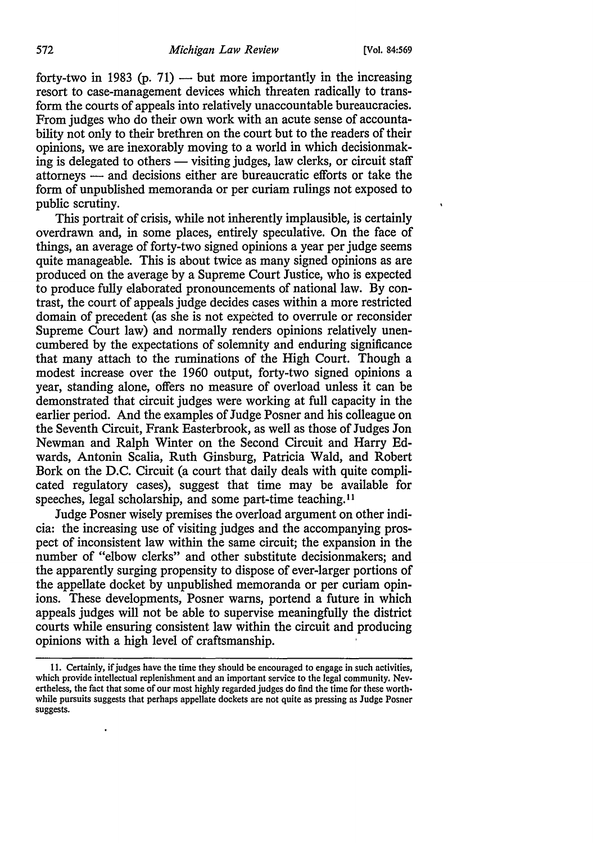forty-two in 1983 (p. 71)  $-$  but more importantly in the increasing resort to case-management devices which threaten radically to transform the courts of appeals into relatively unaccountable bureaucracies. From judges who do their own work with an acute sense of accountability not only to their brethren on the court but to the readers of their opinions, we are inexorably moving to a world in which decisionmaking is delegated to others - visiting judges, law clerks, or circuit staff attorneys — and decisions either are bureaucratic efforts or take the form of unpublished memoranda or per curiam rulings not exposed to public scrutiny.

This portrait of crisis, while not inherently implausible, is certainly overdrawn and, in some places, entirely speculative. On the face of things, an average of forty-two signed opinions a year per judge seems quite manageable. This is about twice as many signed opinions as are produced on the average by a Supreme Court Justice, who is expected to produce fully elaborated pronouncements of national law. By contrast, the court of appeals judge decides cases within a more restricted domain of precedent (as she is not expected to overrule or reconsider Supreme Court law) and normally renders opinions relatively unencumbered by the expectations of solemnity and enduring significance that many attach to the ruminations of the High Court. Though a modest increase over the 1960 output, forty-two signed opinions a year, standing alone, offers no measure of overload unless it can be demonstrated that circuit judges were working at full capacity in the earlier period. And the examples of Judge Posner and his colleague on the Seventh Circuit, Frank Easterbrook, as well as those of Judges Jon Newman and Ralph Winter on the Second Circuit and Harry Edwards, Antonin Scalia, Ruth Ginsburg, Patricia Wald, and Robert Bork on the D.C. Circuit (a court that daily deals with quite complicated regulatory cases), suggest that time may be available for speeches, legal scholarship, and some part-time teaching. <sup>11</sup>

Judge Posner wisely premises the overload argument on other indicia: the increasing use of visiting judges and the accompanying prospect of inconsistent law within the same circuit; the expansion in the number of "elbow clerks" and other substitute decisionmakers; and the apparently surging propensity to dispose of ever-larger portions of the appellate docket by unpublished memoranda or per curiam opinions. These developments, Posner warns, portend a future in which appeals judges will not be able to supervise meaningfully the district courts while ensuring consistent law within the circuit and producing opinions with a high level of craftsmanship.

<sup>11.</sup> Certainly, if judges have the time they should be encouraged to engage in such activities, which provide intellectual replenishment and an important service to the legal community. Nevertheless, the fact that some of our most highly regarded judges do find the time for these worth· while pursuits suggests that perhaps appellate dockets are not quite as pressing as Judge Posner suggests.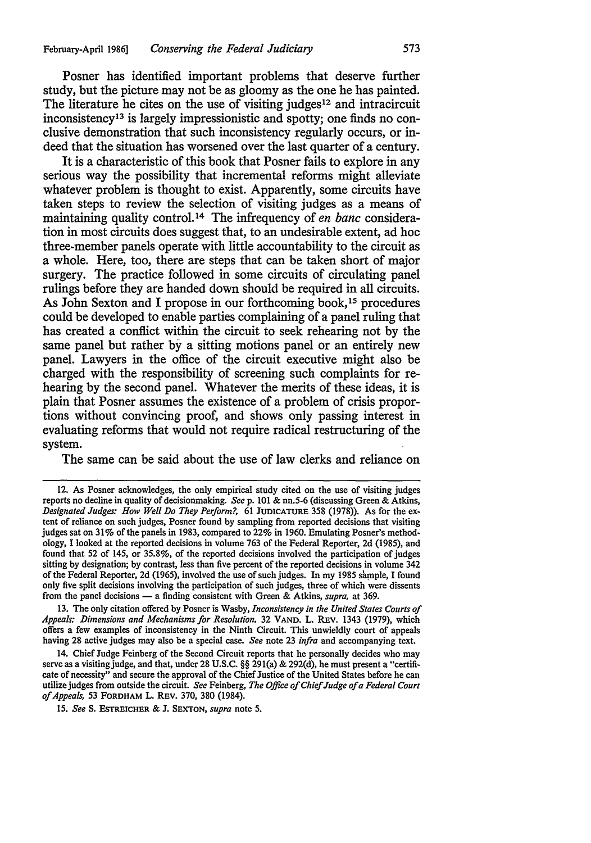Posner has identified important problems that deserve further study, but the picture may not be as gloomy as the one he has painted. The literature he cites on the use of visiting judges<sup>12</sup> and intracircuit inconsistency13 is largely impressionistic and spotty; one finds no conclusive demonstration that such inconsistency regularly occurs, or indeed that the situation has worsened over the last quarter of a century.

It is a characteristic of this book that Posner fails to explore in any serious way the possibility that incremental reforms might alleviate whatever problem is thought to exist. Apparently, some circuits have taken steps to review the selection of visiting judges as a means of maintaining quality control. 14 The infrequency of *en bane* consideration in most circuits does suggest that, to an undesirable extent, ad hoc three-member panels operate with little accountability to the circuit as a whole. Here, too, there are steps that can be taken short of major surgery. The practice followed in some circuits of circulating panel rulings before they are handed down should be required in all circuits. As John Sexton and I propose in our forthcoming book,<sup>15</sup> procedures could be developed to enable parties complaining of a panel ruling that has created a conflict within the circuit to seek rehearing not by the same panel but rather by a sitting motions panel or an entirely new panel. Lawyers in the office of the circuit executive might also be charged with the responsibility of screening such complaints for rehearing by the second panel. Whatever the merits of these ideas, it is plain that Posner assumes the existence of a problem of crisis proportions without convincing proof, and shows only passing interest in evaluating reforms that would not require radical restructuring of the system.

The same can be said about the use of law clerks and reliance on

IS. *See* S. EsTREICHER & J. SEXTON, *supra* note *5.* 

<sup>12.</sup> As Posner acknowledges, the only empirical study cited on the use of visiting judges reports no decline in quality of decisionmaking. Seep. 101 & nn.S-6 (discussing Green & Atkins, *Designated Judges: How Well Do They Perform?,* 61 JUDICATURE 358 (1978)). As for the extent of reliance on such judges, Posner found by sampling from reported decisions that visiting judges sat on 31% of the panels in 1983, compared to 22% in 1960. Emulating Posner's methodology, I looked at the reported decisions in volume 763 of the Federal Reporter, 2d (1985), and found that 52 of 145, or 35.8%, of the reported decisions involved the participation of judges sitting by designation; by contrast, less than five percent of the reported decisions in volume 342 of the Federal Reporter, 2d (1965), involved the use of such judges. In my 1985 sample, I found only five split decisions involving the participation of such judges, three of which were dissents from the panel decisions - a finding consistent with Green & Atkins, *supra*, at 369.

<sup>13.</sup> The only citation offered by Posner is Wasby, *Inconsistency in the United States Courts of Appeals: Dimensio11s and Mechanisms for Resolution,* 32 VAND. L. REv. 1343 (1979), which offers a few examples of inconsistency in the Ninth Circuit. This unwieldly court of appeals having 28 active judges may also be a special case. *See* note 23 *infra* and accompanying text.

<sup>14.</sup> Chief Judge Feinberg of the Second Circuit reports that he personally decides who may serve as a visiting judge, and that, under 28 U.S.C. §§ 291(a) & 292(d), he must present a "certificate of necessity" and secure the approval of the Chief Justice of the United States before he can utilize judges from outside the circuit. *See* Feinberg, *The Office of Chief Judge ofa Federal Court of Appeals,* 53 FORDHAM L. REV. 370, 380 (1984).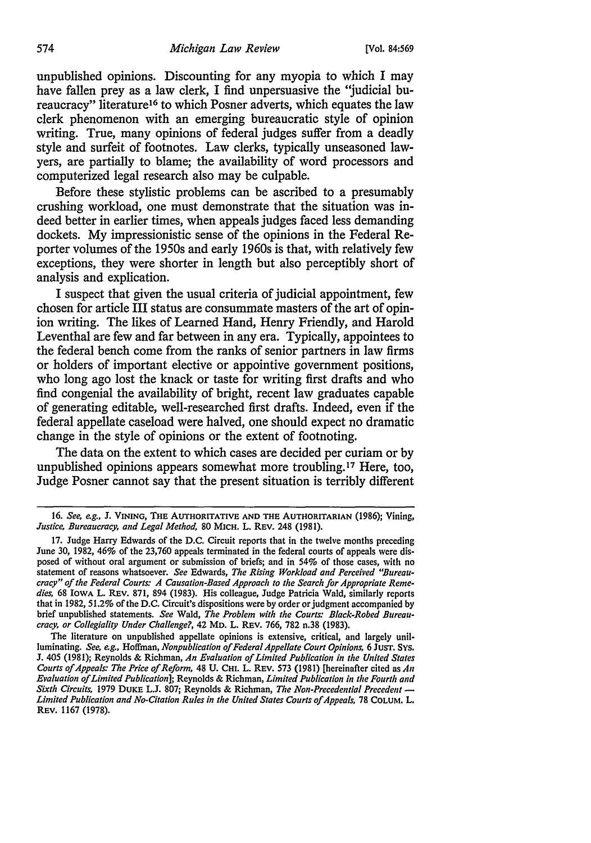unpublished opinions. Discounting for any myopia to which I may have fallen prey as a law clerk, I find unpersuasive the "judicial bureaucracy" literature16 to which Posner adverts, which equates the law clerk phenomenon with an emerging bureaucratic style of opinion writing. True, many opinions of federal judges suffer from a deadly style and surfeit of footnotes. Law clerks, typically unseasoned lawyers, are partially to blame; the availability of word processors and computerized legal research also may be culpable.

Before these stylistic problems can be ascribed to a presumably crushing workload, one must demonstrate that the situation was indeed better in earlier times, when appeals judges faced less demanding dockets. My impressionistic sense of the opinions in the Federal Reporter volumes of the 1950s and early 1960s is that, with relatively few exceptions, they were shorter in length but also perceptibly short of analysis and explication.

I suspect that given the usual criteria of judicial appointment, few chosen for article III status are consummate masters of the art of opinion writing. The likes of Learned Hand, Henry Friendly, and Harold Leventhal are few and far between in any era. Typically, appointees to the federal bench come from the ranks of senior partners in law firms or holders of important elective or appointive government positions, who long ago lost the knack or taste for writing first drafts and who find congenial the availability of bright, recent law graduates capable of generating editable, well-researched first drafts. Indeed, even if the federal appellate caseload were halved, one should expect no dramatic change in the style of opinions or the extent of footnoting.

The data on the extent to which cases are decided per curiam or by unpublished opinions appears somewhat more troubling.17 Here, too, Judge Posner cannot say that the present situation is terribly different

The literature on unpublished appellate opinions is extensive, critical, and largely unilluminating. *See, e.g.,* Hoffman, *Nonpublication of Federal Appellate Court Opinions,* 6 JUST. SYS. J. 405 (1981); Reynolds & Richman, *An Evaluation of Limited Publication in the United States Courts of Appeals: The Price of Reform,* 48 U. CHI. L. REV. 573 (1981) [hereinafter cited as *A11 Evaluation of Limited Publication];* Reynolds & Richman, *Limited Publication in the Fourth and Sixth Circuits,* 1979 DUKE L.J. 807; Reynolds & Richman, *The Non-Precedential Precedent* -*Limited Publication and No-Citation Rules in the United States Courts of Appeals,* 78 COLUM. L. REV. 1167 (1978).

<sup>16.</sup> *See, e.g.,* J. VINING, THE AUTHORITATIVE AND THE AUTHORITARIAN (1986); Vining, *Justice, Bureaucracy, and Legal Method,* 80 MICH. L. REV. 248 (1981).

<sup>17.</sup> Judge Harry Edwards of the D.C. Circuit reports that in the twelve months preceding June 30, 1982, 46% of the 23,760 appeals terminated in the federal courts of appeals were disposed of without oral argument or submission of briefs; and in 54% of those cases, with no statement of reasons whatsoever. See Edwards, *The Rising Workload and Perceived "Bureaucracy" of the Federal Courts: A Causation-Based Approach to the Search for Appropriate Reme*dies, 68 Iowa L. REv. 871, 894 (1983). His colleague, Judge Patricia Wald, similarly reports that in 1982, 51.2% of the D.C. Circuit's dispositions were by order or judgment accompanied by brief unpublished statements. *See* Wald, *The Problem with the Courts: Black-Robed Bureaucracy, or Collegiality Under Challenge?,* 42 Mo. L. REV. 766, 782 n.38 (1983).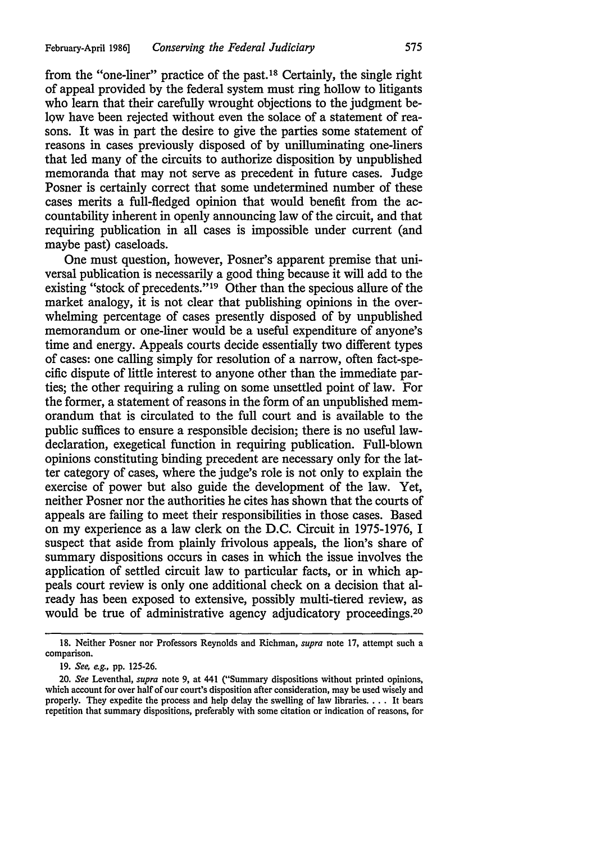sons. It was in part the desire to give the parties some statement of reasons in cases previously disposed of by unilluminating one-liners that led many of the circuits to authorize disposition by unpublished memoranda that may not serve as precedent in future cases. Judge Posner is certainly correct that some undetermined number of these cases merits a full-fledged opinion that would benefit from the accountability inherent in openly announcing law of the circuit, and that requiring publication in all cases is impossible under current (and maybe past) caseloads.

One must question, however, Posner's apparent premise that universal publication is necessarily a good thing because it will add to the existing "stock of precedents."<sup>19</sup> Other than the specious allure of the market analogy, it is not clear that publishing opinions in the overwhelming percentage of cases presently disposed of by unpublished memorandum or one-liner would be a useful expenditure of anyone's time and energy. Appeals courts decide essentially two different types of cases: one calling simply for resolution of a narrow, often fact-specific dispute of little interest to anyone other than the immediate parties; the other requiring a ruling on some unsettled point of law. For the former, a statement of reasons in the form of an unpublished memorandum that is circulated to the full court and is available to the public suffices to ensure a responsible decision; there is no useful lawdeclaration, exegetical function in requiring publication. Full-blown opinions constituting binding precedent are necessary only for the latter category of cases, where the judge's role is not only to explain the exercise of power but also guide the development of the law. Yet, neither Posner nor the authorities he cites has shown that the courts of appeals are failing to meet their responsibilities in those cases. Based on my experience as a law clerk on the D.C. Circuit in 1975-1976, I suspect that aside from plainly frivolous appeals, the lion's share of summary dispositions occurs in cases in which the issue involves the application of settled circuit law to particular facts, or in which appeals court review is only one additional check on a decision that already has been exposed to extensive, possibly multi-tiered review, as would be true of administrative agency adjudicatory proceedings.20

<sup>18.</sup> Neither Posner nor Professors Reynolds and Richman, *supra* note 17, attempt such a comparison.

<sup>19.</sup> *See, e.g.,* pp. 125-26.

<sup>20.</sup> *See* Leventhal, *supra* note 9, at 441 ("Summary dispositions without printed opinions, which account for over half of our court's disposition after consideration, may be used wisely and properly. They expedite the process and help delay the swelling of law libraries. . . . It bears repetition that summary dispositions, preferably with some citation or indication of reasons, for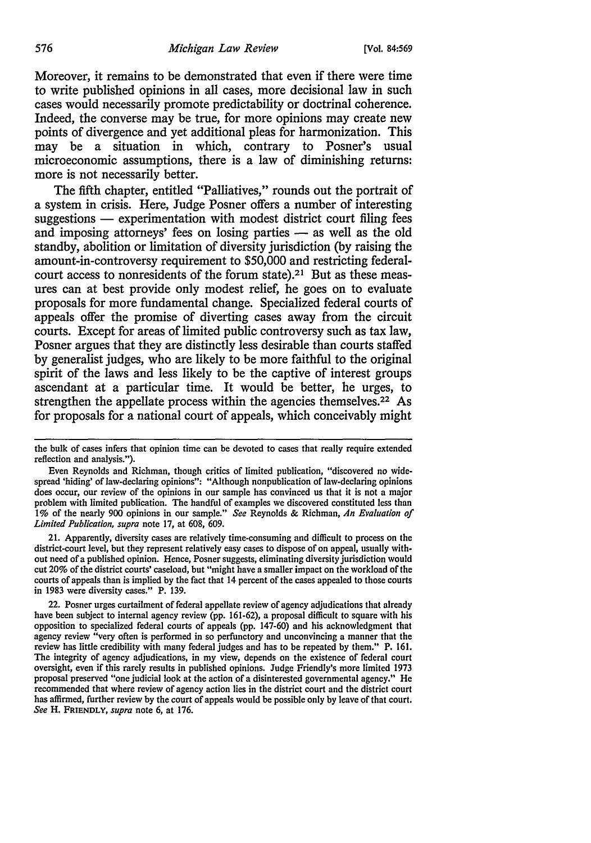Moreover, it remains to be demonstrated that even if there were time to write published opinions in all cases, more decisional law in such cases would necessarily promote predictability or doctrinal coherence. Indeed, the converse may be true, for more opinions may create new points of divergence and yet additional pleas for harmonization. This may be a situation in which, contrary to Posner's usual microeconomic assumptions, there is a law of diminishing returns: more is not necessarily better.

The fifth chapter, entitled "Palliatives," rounds out the portrait of a system in crisis. Here, Judge Posner offers a number of interesting suggestions — experimentation with modest district court filing fees and imposing attorneys' fees on losing parties — as well as the old standby, abolition or limitation of diversity jurisdiction (by raising the amount-in-controversy requirement to \$50,000 and restricting federalcourt access to nonresidents of the forum state).21 But as these measures can at best provide only modest relief, he goes on to evaluate proposals for more fundamental change. Specialized federal courts of appeals offer the promise of diverting cases away from the circuit courts. Except for areas of limited public controversy such as tax law, Posner argues that they are distinctly less desirable than courts staffed by generalist judges, who are likely to be more faithful to the original spirit of the laws and less likely to be the captive of interest groups ascendant at a particular time. It would be better, he urges, to strengthen the appellate process within the agencies themselves.<sup>22</sup> As for proposals for a national court of appeals, which conceivably might

21. Apparently, diversity cases are relatively time-consuming and difficult to process on the district-court level, but they represent relatively easy cases to dispose of on appeal, usually without need of a published opinion. Hence, Posner suggests, eliminating diversity jurisdiction would cut 20% of the district courts' caseload, but "might have a smaller impact on the workload of the courts of appeals than is implied by the fact that 14 percent of the cases appealed to those courts in 1983 were diversity cases." P. 139.

22. Posner urges curtailment of federal appellate review of agency adjudications that already have been subject to internal agency review (pp. 161-62), a proposal difficult to square with his opposition to specialized federal courts of appeals (pp. 147-60) and his acknowledgment that agency review "very often is performed in so perfunctory and unconvincing a manner that the review has little credibility with many federal judges and has to be repeated by them." P. 161. The integrity of agency adjudications, in my view, depends on the existence of federal court oversight, even if this rarely results in published opinions. Judge Friendly's more limited 1973 proposal preserved "one judicial look at the action of a disinterested governmental agency." He recommended that where review of agency action lies in the district court and the district court has affirmed, further review by the court of appeals would be possible only by leave of that court. *See* H. FRIENDLY, *supra* note 6, at 176.

the bulk of cases infers that opinion time can be devoted to cases that really require extended reflection and analysis.").

Even Reynolds and Richman, though critics of limited publication, "discovered no widespread 'hiding' of law-declaring opinions": "Although nonpublication of law-declaring opinions does occur, our review of the opinions in our sample has convinced us that it is not a major problem with limited publication. The handful of examples we discovered constituted less than 1% of the nearly 900 opinions in our sample." *See* Reynolds & Richman, *An Evaluation of Limited Publication, supra* note 17, at 608, 609.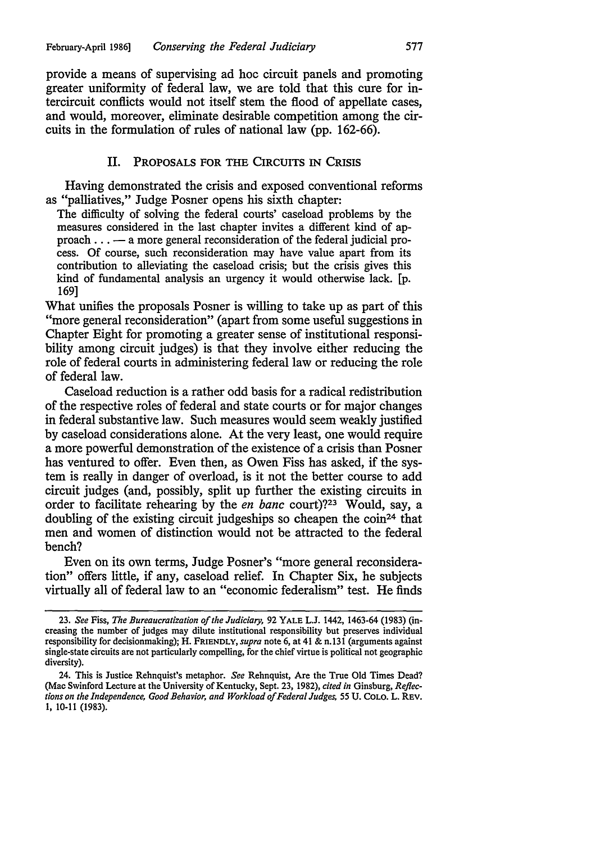provide a means of supervising ad hoc circuit panels and promoting greater uniformity of federal law, we are told that this cure for intercircuit conflicts would not itself stem the flood of appellate cases, and would, moreover, eliminate desirable competition among the circuits in the formulation of rules of national law (pp. 162-66).

#### II. PROPOSALS FOR THE CIRCUITS IN CRISIS

Having demonstrated the crisis and exposed conventional reforms as "palliatives," Judge Posner opens his sixth chapter:

The difficulty of solving the federal courts' caseload problems by the measures considered in the last chapter invites a different kind of ap $proach \ldots$  - a more general reconsideration of the federal judicial process. Of course, such reconsideration may have value apart from its contribution to alleviating the caseload crisis; but the crisis gives this kind of fundamental analysis an urgency it would otherwise lack. [p. 169]

What unifies the proposals Posner is willing to take up as part of this "more general reconsideration" (apart from some useful suggestions in Chapter Eight for promoting a greater sense of institutional responsibility among circuit judges) is that they involve either reducing the role of federal courts in administering federal law or reducing the role of federal law.

Caseload reduction is a rather odd basis for a radical redistribution of the respective roles of federal and state courts or for major changes in federal substantive law. Such measures would seem weakly justified by caseload considerations alone. At the very least, one would require a more powerful demonstration of the existence of a crisis than Posner has ventured to offer. Even then, as Owen Fiss has asked, if the system is really in danger of overload, is it not the better course to add circuit judges (and, possibly, split up further the existing circuits in order to facilitate rehearing by the *en bane* court)?23 Would, say, a doubling of the existing circuit judgeships so cheapen the coin<sup>24</sup> that men and women of distinction would not be attracted to the federal bench?

Even on its own terms, Judge Posner's "more general reconsideration" offers little, if any, caseload relief. In Chapter Six, he subjects virtually all of federal law to an "economic federalism" test. He finds

<sup>23.</sup> *See* Fiss, *The Bureaucratization of the Judiciary,* 92 YALE L.J. 1442, 1463-64 (1983) (increasing the number of judges may dilute institutional responsibility but preserves individual responsibility for decisionmaking); H. FRIENDLY, *supra* note 6, at 41 & n.131 (arguments against single-state circuits are not particularly compelling, for the chief virtue is political not geographic diversity).

<sup>24.</sup> This is Justice Rehnquist's metaphor. *See* Rehnquist, Are the True Old Times Dead? (Mac Swinford Lecture at the University of Kentucky, Sept. 23, 1982), *cited in* Ginsburg, *Reflections on the Independence, Good Behavior, and Workload of Federal Judges,* 55 U. COLO. L. REV. 1, 10-11 (1983).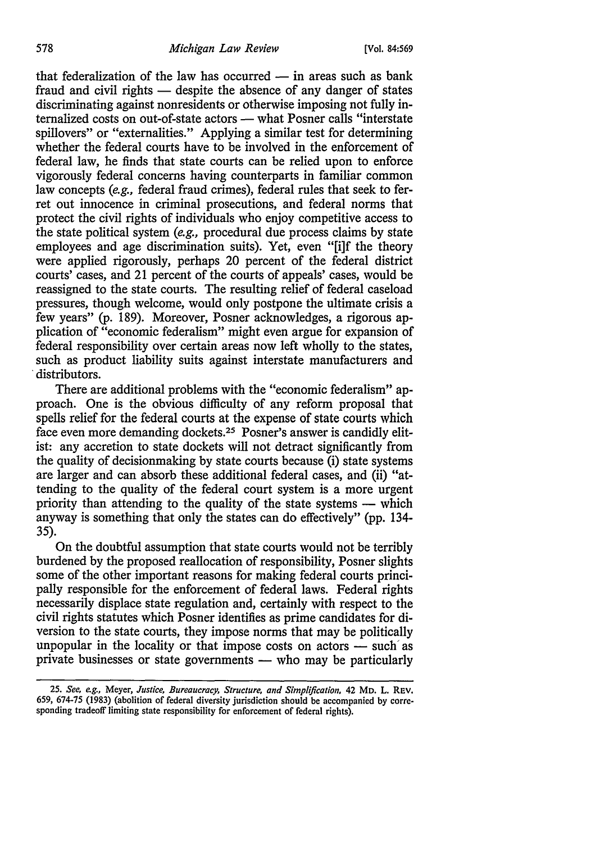that federalization of the law has occurred  $-$  in areas such as bank fraud and civil rights - despite the absence of any danger of states discriminating against nonresidents or otherwise imposing not fully internalized costs on out-of-state actors — what Posner calls "interstate spillovers" or "externalities." Applying a similar test for determining whether the federal courts have to be involved in the enforcement of federal law, he finds that state courts can be relied upon to enforce vigorously federal concerns having counterparts in familiar common law concepts (e.g., federal fraud crimes), federal rules that seek to ferret out innocence in criminal prosecutions, and federal norms that protect the civil rights of individuals who enjoy competitive access to the state political system (e.g., procedural due process claims by state employees and age discrimination suits). Yet, even "[i]f the theory were applied rigorously, perhaps 20 percent of the federal district courts' cases, and 21 percent of the courts of appeals' cases, would be reassigned to the state courts. The resulting relief of federal caseload pressures, though welcome, would only postpone the ultimate crisis a few years" (p. 189). Moreover, Posner acknowledges, a rigorous application of "economic federalism" might even argue for expansion of federal responsibility over certain areas now left wholly to the states, such as product liability suits against interstate manufacturers and distributors.

There are additional problems with the "economic federalism" approach. One is the obvious difficulty of any reform proposal that spells relief for the federal courts at the expense of state courts which face even more demanding dockets.25 Posner's answer is candidly elitist: any accretion to state dockets will not detract significantly from the quality of decisionmaking by state courts because (i) state systems are larger and can absorb these additional federal cases, and (ii) "attending to the quality of the federal court system is a more urgent priority than attending to the quality of the state systems — which anyway is something that only the states can do effectively" (pp. 134- 35).

On the doubtful assumption that state courts would not be terribly burdened by the proposed reallocation of responsibility, Posner slights some of the other important reasons for making federal courts principally responsible for the enforcement of federal laws. Federal rights necessarily displace state regulation and, certainly with respect to the civil rights statutes which Posner identifies as prime candidates for diversion to the state courts, they impose norms that may be politically unpopular in the locality or that impose costs on actors  $-$  such as private businesses or state governments  $-$  who may be particularly

<sup>25.</sup> See, e.g., Meyer, Justice, Bureaucracy, Structure, and Simplification, 42 MD. L. REV. 659, 674-75 (1983) (abolition of federal diversity jurisdiction should be accompanied by corresponding tradeoff limiting state responsibility for enforcement of federal rights).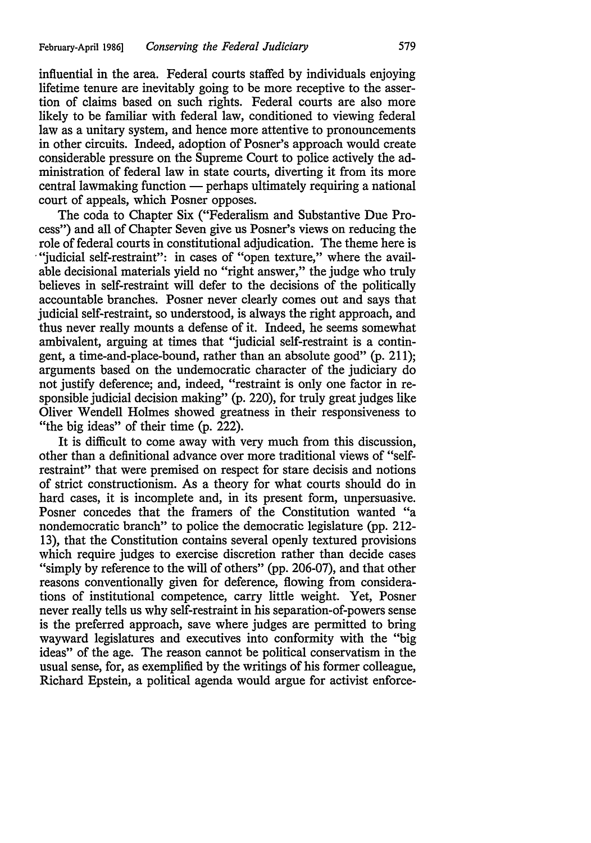influential in the area. Federal courts staffed by individuals enjoying lifetime tenure are inevitably going to be more receptive to the assertion of claims based on such rights. Federal courts are also more likely to be familiar with federal law, conditioned to viewing federal law as a unitary system, and hence more attentive to pronouncements in other circuits. Indeed, adoption of Posner's approach would create considerable pressure on the Supreme Court to police actively the administration of federal law in state courts, diverting it from its more central lawmaking function — perhaps ultimately requiring a national court of appeals, which Posner opposes.

The coda to Chapter Six ("Federalism and Substantive Due Process") and all of Chapter Seven give us Posner's views on reducing the role of federal courts in constitutional adjudication. The theme here is ·''judicial self-restraint": in cases of "open texture," where the available decisional materials yield no "right answer," the judge who truly believes in self-restraint will defer to the decisions of the politically accountable branches. Posner never clearly comes out and says that judicial self-restraint, so understood, is always the right approach, and thus never really mounts a defense of it. Indeed, he seems somewhat ambivalent, arguing at times that "judicial self-restraint is a contingent, a time-and-place-bound, rather than an absolute good" (p. 211); arguments based on the undemocratic character of the judiciary do not justify deference; and, indeed, "restraint is only one factor in responsible judicial decision making" (p. 220), for truly great judges like Oliver Wendell Holmes showed greatness in their responsiveness to "the big ideas" of their time (p. 222).

It is difficult to come away with very much from this discussion, other than a definitional advance over more traditional views of "selfrestraint" that were premised on respect for stare decisis and notions of strict constructionism. As a theory for what courts should do in hard cases, it is incomplete and, in its present form, unpersuasive. Posner concedes that the framers of the Constitution wanted "a nondemocratic branch" to police the democratic legislature (pp. 212- 13), that the Constitution contains several openly textured provisions which require judges to exercise discretion rather than decide cases "simply by reference to the will of others" (pp. 206-07), and that other reasons conventionally given for deference, flowing from considerations of institutional competence, carry little weight. Yet, Posner never really tells us why self-restraint in his separation-of-powers sense is the preferred approach, save where judges are permitted to bring wayward legislatures and executives into conformity with the "big ideas" of the age. The reason cannot be political conservatism in the usual sense, for, as exemplified by the writings of his former colleague, Richard Epstein, a political agenda would argue for activist enforce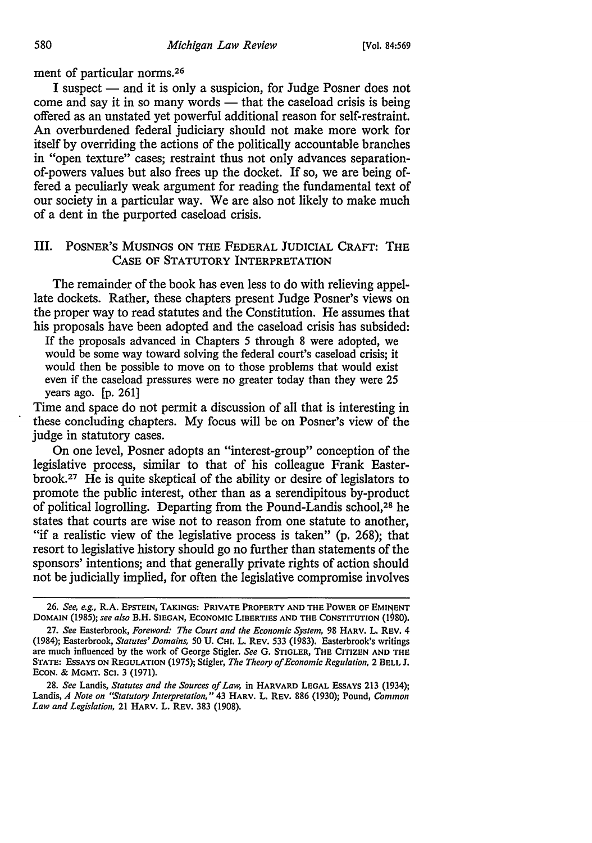ment of particular norms.26

I suspect — and it is only a suspicion, for Judge Posner does not come and say it in so many words — that the caseload crisis is being offered as an unstated yet powerful additional reason for self-restraint. An overburdened federal judiciary should not make more work for itself by overriding the actions of the politically accountable branches in "open texture" cases; restraint thus not only advances separationof-powers values but also frees up the docket. If so, we are being offered a peculiarly weak argument for reading the fundamental text of our society in a particular way. We are also not likely to make much of a dent in the purported caseload crisis.

#### III. POSNER'S MUSINGS ON THE FEDERAL JUDICIAL CRAFT: THE CASE OF STATUTORY INTERPRETATION

The remainder of the book has even less to do with relieving appellate dockets. Rather, these chapters present Judge Posner's views on the proper way to read statutes and the Constitution. He assumes that his proposals have been adopted and the caseload crisis has subsided:

If the proposals advanced in Chapters 5 through 8 were adopted, we would be some way toward solving the federal court's caseload crisis; it would then be possible to move on to those problems that would exist even if the caseload pressures were no greater today than they were 25 years ago. [p. 261]

Time and space do not permit a discussion of all that is interesting in these concluding chapters. My focus will be on Posner's view of the judge in statutory cases.

On one level, Posner adopts an "interest-group" conception of the legislative process, similar to that of his colleague Frank Easterbrook. 27 He is quite skeptical of the ability or desire of legislators to promote the public interest, other than as a serendipitous by-product of political logrolling. Departing from the Pound-Landis schoo1,2s he states that courts are wise not to reason from one statute to another, "if a realistic view of the legislative process is taken" (p. 268); that resort to legislative history should go no further than statements of the sponsors' intentions; and that generally private rights of action should not be judicially implied, for often the legislative compromise involves

<sup>26.</sup> See, e.g., R.A. EPSTEIN, TAKINGS: PRIVATE PROPERTY AND THE POWER OF EMINENT DOMAIN (1985); *see also* B.H. SIEGAN, ECONOMIC LIBERTIES AND THE CONSTITUTION (1980).

<sup>27.</sup> *See* Easterbrook, *Foreword: The Court and the Economic System,* 98 HARV. L. REV. 4 (1984); Easterbrook, *Statutes' Domains,* 50 U. CHI. L. REV. 533 (1983). Easterbrook's writings are much influenced by the work of George Stigler. *See* G. STIGLER, THE CITIZEN AND THE STATE: EssAYS ON REGULATION (1975); Stigler, *The Theory of Economic Regulation,* 2 BELL J. EcON. & MGMT. SCI. 3 (1971).

<sup>28.</sup> *See* Landis, *Statutes and the Sources of Law,* in HARVARD LEGAL EssAYS 213 (1934); Landis, *A Note on "Statutory Interpretation,"* 43 HARV. L. REV. 886 (1930); Pound, *Common Law and Legislation,* 21 HARV. L. REV. 383 (1908).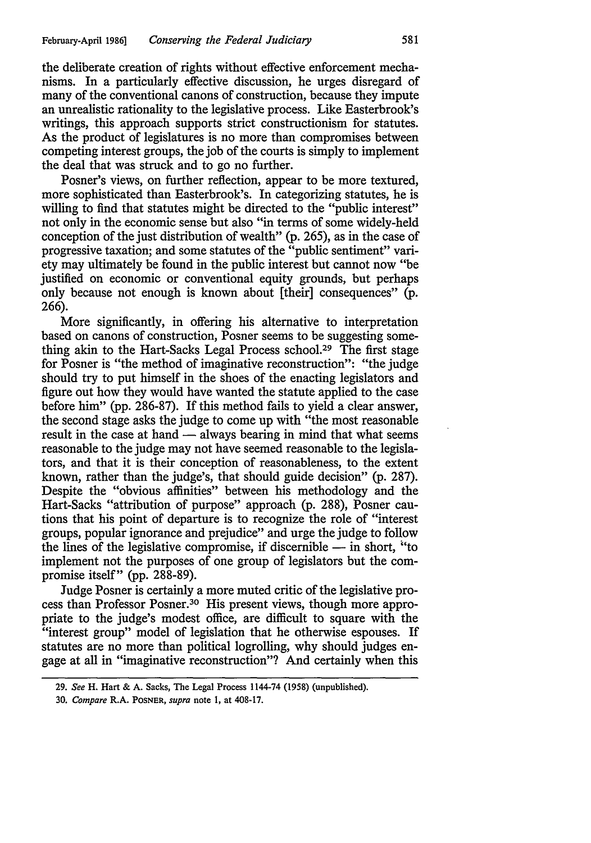the deliberate creation of rights without effective enforcement mechanisms. In a particularly effective discussion, he urges disregard of many of the conventional canons of construction, because they impute an unrealistic rationality to the legislative process. Like Easterbrook's writings, this approach supports strict constructionism for statutes. As the product of legislatures is no more than compromises between competing interest groups, the job of the courts is simply to implement the deal that was struck and to go no further.

Posner's views, on further reflection, appear to be more textured, more sophisticated than Easterbrook's. In categorizing statutes, he is willing to find that statutes might be directed to the "public interest" not only in the economic sense but also "in terms of some widely-held conception of the just distribution of wealth" (p. 265), as in the case of progressive taxation; and some statutes of the "public sentiment" variety may ultimately be found in the public interest but cannot now "be justified on economic or conventional equity grounds, but perhaps only because not enough is known about [their] consequences" (p. 266).

More significantly, in offering his alternative to interpretation based on canons of construction, Posner seems to be suggesting something akin to the Hart-Sacks Legal Process school.<sup>29</sup> The first stage for Posner is "the method of imaginative reconstruction": "the judge should try to put himself in the shoes of the enacting legislators and figure out how they would have wanted the statute applied to the case before him" (pp. 286-87). If this method fails to yield a clear answer, the second stage asks the judge to come up with "the most reasonable result in the case at hand  $-$  always bearing in mind that what seems reasonable to the judge may not have seemed reasonable to the legislators, and that it is their conception of reasonableness, to the extent known, rather than the judge's, that should guide decision" (p. 287). Despite the "obvious affinities" between his methodology and the Hart-Sacks "attribution of purpose" approach (p. 288), Posner cautions that his point of departure is to recognize the role of "interest groups, popular ignorance and prejudice" and urge the judge to follow the lines of the legislative compromise, if discernible  $-$  in short, "to implement not the purposes of one group of legislators but the compromise itself" (pp. 288-89).

Judge Posner is certainly a more muted critic of the legislative process than Professor Posner.30 His present views, though more appropriate to the judge's modest office, are difficult to square with the "interest group" model of legislation that he otherwise espouses. If statutes are no more than political logrolling, why should judges engage at all in "imaginative reconstruction"? And certainly when this

<sup>29.</sup> *See* H. Hart & A. Sacks, The Legal Process 1144-74 (1958) (unpublished).

<sup>30.</sup> *Compare* R.A. POSNER, *supra* note l, at 408-17.